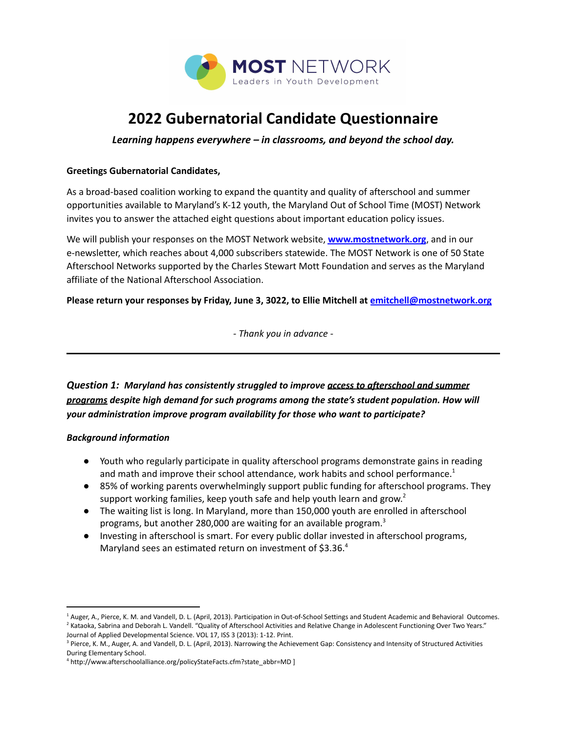

# **2022 Gubernatorial Candidate Questionnaire**

*Learning happens everywhere – in classrooms, and beyond the school day.*

#### **Greetings Gubernatorial Candidates,**

As a broad-based coalition working to expand the quantity and quality of afterschool and summer opportunities available to Maryland's K-12 youth, the Maryland Out of School Time (MOST) Network invites you to answer the attached eight questions about important education policy issues.

We will publish your responses on the MOST Network website, **[www.mostnetwork.org](http://www.mostnetwork.org)**, and in our e-newsletter, which reaches about 4,000 subscribers statewide. The MOST Network is one of 50 State Afterschool Networks supported by the Charles Stewart Mott Foundation and serves as the Maryland affiliate of the National Afterschool Association.

**Please return your responses by Friday, June 3, 3022, to Ellie Mitchell at [emitchell@mostnetwork.org](mailto:emitchell@mostnetwork.org)**

*- Thank you in advance -*

*Question 1: Maryland has consistently struggled to improve access to afterschool and summer programs despite high demand for such programs among the state's student population. How will your administration improve program availability for those who want to participate?*

#### *Background information*

- Youth who regularly participate in quality afterschool programs demonstrate gains in reading and math and improve their school attendance, work habits and school performance.<sup>1</sup>
- 85% of working parents overwhelmingly support public funding for afterschool programs. They support working families, keep youth safe and help youth learn and grow.<sup>2</sup>
- The waiting list is long. In Maryland, more than 150,000 youth are enrolled in afterschool programs, but another 280,000 are waiting for an available program.<sup>3</sup>
- Investing in afterschool is smart. For every public dollar invested in afterschool programs, Maryland sees an estimated return on investment of \$3.36.4

<sup>&</sup>lt;sup>2</sup> Kataoka, Sabrina and Deborah L. Vandell. "Quality of Afterschool Activities and Relative Change in Adolescent Functioning Over Two Years." <sup>1</sup> Auger, A., Pierce, K. M. and Vandell, D. L. (April, 2013). Participation in Out-of-School Settings and Student Academic and Behavioral Outcomes.

Journal of Applied Developmental Science. VOL 17, ISS 3 (2013): 1-12. Print.

<sup>&</sup>lt;sup>3</sup> Pierce, K. M., Auger, A. and Vandell, D. L. (April, 2013). Narrowing the Achievement Gap: Consistency and Intensity of Structured Activities During Elementary School.

<sup>4</sup> http://www.afterschoolalliance.org/policyStateFacts.cfm?state\_abbr=MD ]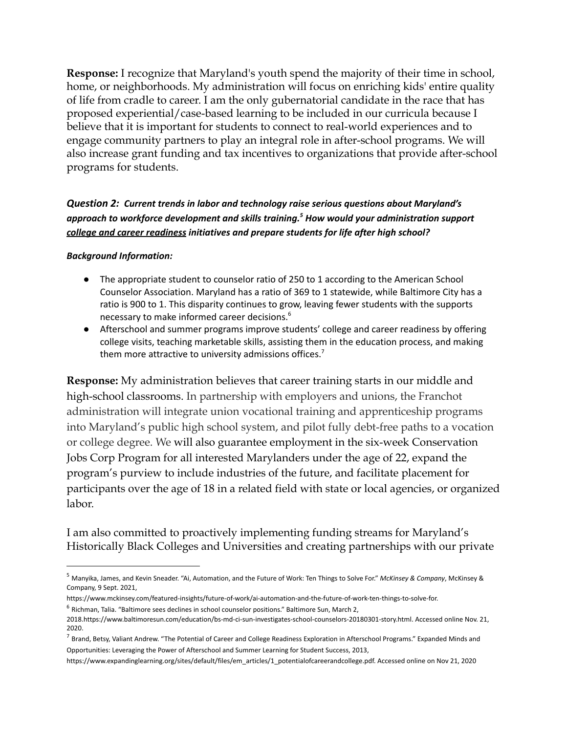**Response:** I recognize that Maryland's youth spend the majority of their time in school, home, or neighborhoods. My administration will focus on enriching kids' entire quality of life from cradle to career. I am the only gubernatorial candidate in the race that has proposed experiential/case-based learning to be included in our curricula because I believe that it is important for students to connect to real-world experiences and to engage community partners to play an integral role in after-school programs. We will also increase grant funding and tax incentives to organizations that provide after-school programs for students.

# *Question 2: Current trends in labor and technology raise serious questions about Maryland's approach to workforce development and skills training. <sup>5</sup> How would your administration support college and career readiness initiatives and prepare students for life after high school?*

#### *Background Information:*

- The appropriate student to counselor ratio of 250 to 1 according to the American School Counselor Association. Maryland has a ratio of 369 to 1 statewide, while Baltimore City has a ratio is 900 to 1. This disparity continues to grow, leaving fewer students with the supports necessary to make informed career decisions. 6
- Afterschool and summer programs improve students' college and career readiness by offering college visits, teaching marketable skills, assisting them in the education process, and making them more attractive to university admissions offices.<sup>7</sup>

**Response:** My administration believes that career training starts in our middle and high-school classrooms. In partnership with employers and unions, the Franchot administration will integrate union vocational training and apprenticeship programs into Maryland's public high school system, and pilot fully debt-free paths to a vocation or college degree. We will also guarantee employment in the six-week Conservation Jobs Corp Program for all interested Marylanders under the age of 22, expand the program's purview to include industries of the future, and facilitate placement for participants over the age of 18 in a related field with state or local agencies, or organized labor.

I am also committed to proactively implementing funding streams for Maryland's Historically Black Colleges and Universities and creating partnerships with our private

<sup>5</sup> Manyika, James, and Kevin Sneader. "Ai, Automation, and the Future of Work: Ten Things to Solve For." *McKinsey & Company*, McKinsey & Company, 9 Sept. 2021,

 $6$  Richman, Talia. "Baltimore sees declines in school counselor positions." Baltimore Sun, March 2, https://www.mckinsey.com/featured-insights/future-of-work/ai-automation-and-the-future-of-work-ten-things-to-solve-for.

<sup>2018.</sup>https://www.baltimoresun.com/education/bs-md-ci-sun-investigates-school-counselors-20180301-story.html. Accessed online Nov. 21, 2020.

 $^7$  Brand, Betsy, Valiant Andrew. "The Potential of Career and College Readiness Exploration in Afterschool Programs." Expanded Minds and Opportunities: Leveraging the Power of Afterschool and Summer Learning for Student Success, 2013,

https://www.expandinglearning.org/sites/default/files/em\_articles/1\_potentialofcareerandcollege.pdf. Accessed online on Nov 21, 2020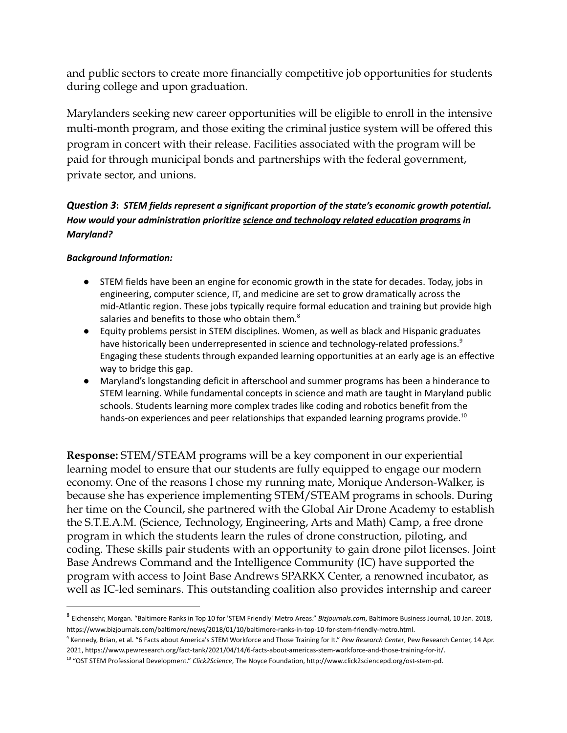and public sectors to create more financially competitive job opportunities for students during college and upon graduation.

Marylanders seeking new career opportunities will be eligible to enroll in the intensive multi-month program, and those exiting the criminal justice system will be offered this program in concert with their release. Facilities associated with the program will be paid for through municipal bonds and partnerships with the federal government, private sector, and unions.

# *Question 3***:** *STEM fields represent a significant proportion of the state's economic growth potential. How would your administration prioritize science and technology related education programs in Maryland?*

## *Background Information:*

- STEM fields have been an engine for economic growth in the state for decades. Today, jobs in engineering, computer science, IT, and medicine are set to grow dramatically across the mid-Atlantic region. These jobs typically require formal education and training but provide high salaries and benefits to those who obtain them. $^8$
- Equity problems persist in STEM disciplines. Women, as well as black and Hispanic graduates have historically been underrepresented in science and technology-related professions.<sup>9</sup> Engaging these students through expanded learning opportunities at an early age is an effective way to bridge this gap.
- Maryland's longstanding deficit in afterschool and summer programs has been a hinderance to STEM learning. While fundamental concepts in science and math are taught in Maryland public schools. Students learning more complex trades like coding and robotics benefit from the hands-on experiences and peer relationships that expanded learning programs provide.<sup>10</sup>

**Response:** STEM/STEAM programs will be a key component in our experiential learning model to ensure that our students are fully equipped to engage our modern economy. One of the reasons I chose my running mate, Monique Anderson-Walker, is because she has experience implementing STEM/STEAM programs in schools. During her time on the Council, she partnered with the Global Air Drone Academy to establish the S.T.E.A.M. (Science, Technology, Engineering, Arts and Math) Camp, a free drone program in which the students learn the rules of drone construction, piloting, and coding. These skills pair students with an opportunity to gain drone pilot licenses. Joint Base Andrews Command and the Intelligence Community (IC) have supported the program with access to Joint Base Andrews SPARKX Center, a renowned incubator, as well as IC-led seminars. This outstanding coalition also provides internship and career

<sup>8</sup> Eichensehr, Morgan. "Baltimore Ranks in Top 10 for 'STEM Friendly' Metro Areas." *Bizjournals.com*, Baltimore Business Journal, 10 Jan. 2018, https://www.bizjournals.com/baltimore/news/2018/01/10/baltimore-ranks-in-top-10-for-stem-friendly-metro.html.

<sup>9</sup> Kennedy, Brian, et al. "6 Facts about America's STEM Workforce and Those Training for It." *Pew Research Center*, Pew Research Center, 14 Apr. 2021, https://www.pewresearch.org/fact-tank/2021/04/14/6-facts-about-americas-stem-workforce-and-those-training-for-it/.

<sup>10</sup> "OST STEM Professional Development." *Click2Science*, The Noyce Foundation, http://www.click2sciencepd.org/ost-stem-pd.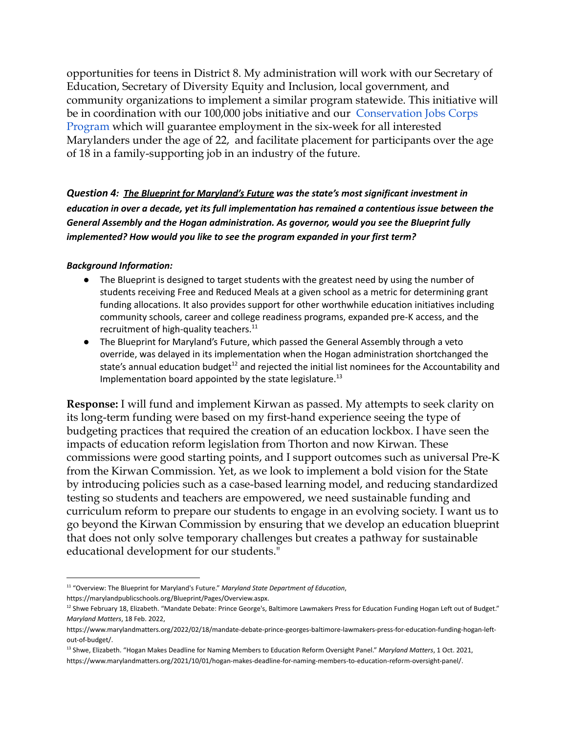opportunities for teens in District 8. My administration will work with our Secretary of Education, Secretary of Diversity Equity and Inclusion, local government, and community organizations to implement a similar program statewide. This initiative will be in coordination with our 100,000 jobs initiative and our [Conservation Jobs Corps](https://dnr.maryland.gov/publiclands/Pages/cjc_program.aspx) [Program](https://dnr.maryland.gov/publiclands/Pages/cjc_program.aspx) which will guarantee employment in the six-week for all interested Marylanders under the age of 22, and facilitate placement for participants over the age of 18 in a family-supporting job in an industry of the future.

*Question 4: The Blueprint for Maryland's Future was the state's most significant investment in education in over a decade, yet its full implementation has remained a contentious issue between the General Assembly and the Hogan administration. As governor, would you see the Blueprint fully implemented? How would you like to see the program expanded in your first term?*

#### *Background Information:*

- The Blueprint is designed to target students with the greatest need by using the number of students receiving Free and Reduced Meals at a given school as a metric for determining grant funding allocations. It also provides support for other worthwhile education initiatives including community schools, career and college readiness programs, expanded pre-K access, and the recruitment of high-quality teachers.<sup>11</sup>
- The Blueprint for Maryland's Future, which passed the General Assembly through a veto override, was delayed in its implementation when the Hogan administration shortchanged the state's annual education budget<sup>12</sup> and rejected the initial list nominees for the Accountability and Implementation board appointed by the state legislature.<sup>13</sup>

**Response:** I will fund and implement Kirwan as passed. My attempts to seek clarity on its long-term funding were based on my first-hand experience seeing the type of budgeting practices that required the creation of an education lockbox. I have seen the impacts of education reform legislation from Thorton and now Kirwan. These commissions were good starting points, and I support outcomes such as universal Pre-K from the Kirwan Commission. Yet, as we look to implement a bold vision for the State by introducing policies such as a case-based learning model, and reducing standardized testing so students and teachers are empowered, we need sustainable funding and curriculum reform to prepare our students to engage in an evolving society. I want us to go beyond the Kirwan Commission by ensuring that we develop an education blueprint that does not only solve temporary challenges but creates a pathway for sustainable educational development for our students."

<sup>11</sup> "Overview: The Blueprint for Maryland's Future." *Maryland State Department of Education*,

https://marylandpublicschools.org/Blueprint/Pages/Overview.aspx.

<sup>&</sup>lt;sup>12</sup> Shwe February 18, Elizabeth. "Mandate Debate: Prince George's, Baltimore Lawmakers Press for Education Funding Hogan Left out of Budget." *Maryland Matters*, 18 Feb. 2022,

https://www.marylandmatters.org/2022/02/18/mandate-debate-prince-georges-baltimore-lawmakers-press-for-education-funding-hogan-leftout-of-budget/.

<sup>13</sup> Shwe, Elizabeth. "Hogan Makes Deadline for Naming Members to Education Reform Oversight Panel." *Maryland Matters*, 1 Oct. 2021, https://www.marylandmatters.org/2021/10/01/hogan-makes-deadline-for-naming-members-to-education-reform-oversight-panel/.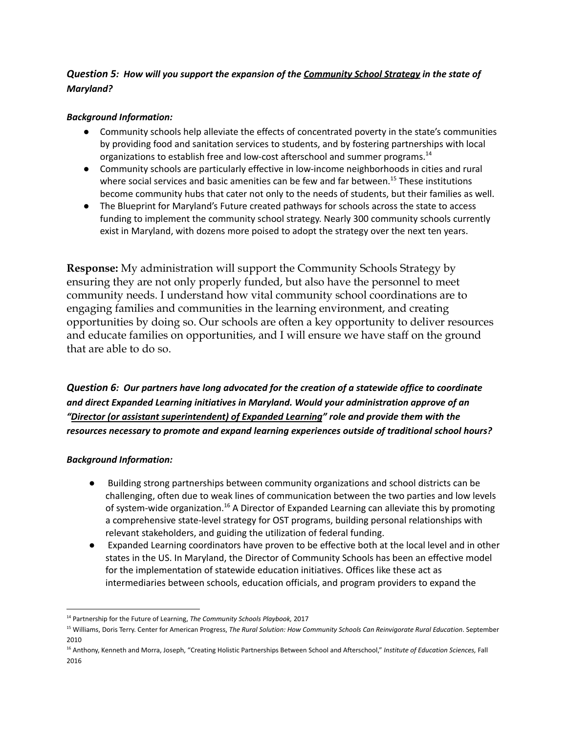## *Question 5: How will you support the expansion of the Community School Strategy in the state of Maryland?*

#### *Background Information:*

- Community schools help alleviate the effects of concentrated poverty in the state's communities by providing food and sanitation services to students, and by fostering partnerships with local organizations to establish free and low-cost afterschool and summer programs.<sup>14</sup>
- Community schools are particularly effective in low-income neighborhoods in cities and rural where social services and basic amenities can be few and far between.<sup>15</sup> These institutions become community hubs that cater not only to the needs of students, but their families as well.
- The Blueprint for Maryland's Future created pathways for schools across the state to access funding to implement the community school strategy. Nearly 300 community schools currently exist in Maryland, with dozens more poised to adopt the strategy over the next ten years.

**Response:** My administration will support the Community Schools Strategy by ensuring they are not only properly funded, but also have the personnel to meet community needs. I understand how vital community school coordinations are to engaging families and communities in the learning environment, and creating opportunities by doing so. Our schools are often a key opportunity to deliver resources and educate families on opportunities, and I will ensure we have staff on the ground that are able to do so.

*Question 6: Our partners have long advocated for the creation of a statewide office to coordinate and direct Expanded Learning initiatives in Maryland. Would your administration approve of an "Director (or assistant superintendent) of Expanded Learning" role and provide them with the resources necessary to promote and expand learning experiences outside of traditional school hours?*

#### *Background Information:*

- *●* Building strong partnerships between community organizations and school districts can be challenging, often due to weak lines of communication between the two parties and low levels of system-wide organization.<sup>16</sup> A Director of Expanded Learning can alleviate this by promoting a comprehensive state-level strategy for OST programs, building personal relationships with relevant stakeholders, and guiding the utilization of federal funding.
- Expanded Learning coordinators have proven to be effective both at the local level and in other states in the US. In Maryland, the Director of Community Schools has been an effective model for the implementation of statewide education initiatives. Offices like these act as intermediaries between schools, education officials, and program providers to expand the

<sup>14</sup> Partnership for the Future of Learning, *The Community Schools Playbook,* 2017

<sup>15</sup> Williams, Doris Terry. Center for American Progress, *The Rural Solution: How Community Schools Can Reinvigorate Rural Education*. September 2010

<sup>16</sup> Anthony, Kenneth and Morra, Joseph, "Creating Holistic Partnerships Between School and Afterschool," *Institute of Education Sciences,* Fall 2016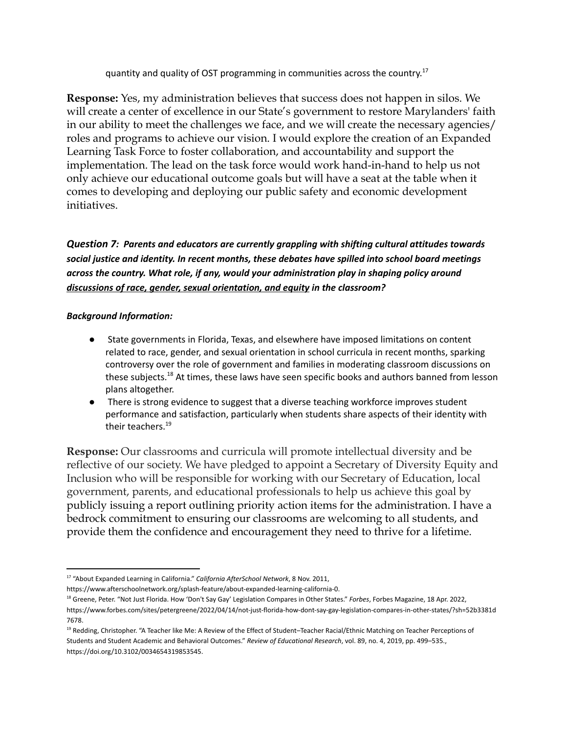quantity and quality of OST programming in communities across the country.<sup>17</sup>

**Response:** Yes, my administration believes that success does not happen in silos. We will create a center of excellence in our State's government to restore Marylanders' faith in our ability to meet the challenges we face, and we will create the necessary agencies/ roles and programs to achieve our vision. I would explore the creation of an Expanded Learning Task Force to foster collaboration, and accountability and support the implementation. The lead on the task force would work hand-in-hand to help us not only achieve our educational outcome goals but will have a seat at the table when it comes to developing and deploying our public safety and economic development initiatives.

*Question 7: Parents and educators are currently grappling with shifting cultural attitudes towards social justice and identity. In recent months, these debates have spilled into school board meetings across the country. What role, if any, would your administration play in shaping policy around discussions of race, gender, sexual orientation, and equity in the classroom?*

## *Background Information:*

- State governments in Florida, Texas, and elsewhere have imposed limitations on content related to race, gender, and sexual orientation in school curricula in recent months, sparking controversy over the role of government and families in moderating classroom discussions on these subjects.<sup>18</sup> At times, these laws have seen specific books and authors banned from lesson plans altogether.
- There is strong evidence to suggest that a diverse teaching workforce improves student performance and satisfaction, particularly when students share aspects of their identity with their teachers. 19

**Response:** Our classrooms and curricula will promote intellectual diversity and be reflective of our society. We have pledged to appoint a Secretary of Diversity Equity and Inclusion who will be responsible for working with our Secretary of Education, local government, parents, and educational professionals to help us achieve this goal by publicly issuing a report outlining priority action items for the administration. I have a bedrock commitment to ensuring our classrooms are welcoming to all students, and provide them the confidence and encouragement they need to thrive for a lifetime.

<sup>17</sup> "About Expanded Learning in California." *California AfterSchool Network*, 8 Nov. 2011,

https://www.afterschoolnetwork.org/splash-feature/about-expanded-learning-california-0.

<sup>18</sup> Greene, Peter. "Not Just Florida. How 'Don't Say Gay' Legislation Compares in Other States." *Forbes*, Forbes Magazine, 18 Apr. 2022, https://www.forbes.com/sites/petergreene/2022/04/14/not-just-florida-how-dont-say-gay-legislation-compares-in-other-states/?sh=52b3381d 7678.

<sup>19</sup> Redding, Christopher. "A Teacher like Me: A Review of the Effect of Student–Teacher Racial/Ethnic Matching on Teacher Perceptions of Students and Student Academic and Behavioral Outcomes." *Review of Educational Research*, vol. 89, no. 4, 2019, pp. 499–535., https://doi.org/10.3102/0034654319853545.